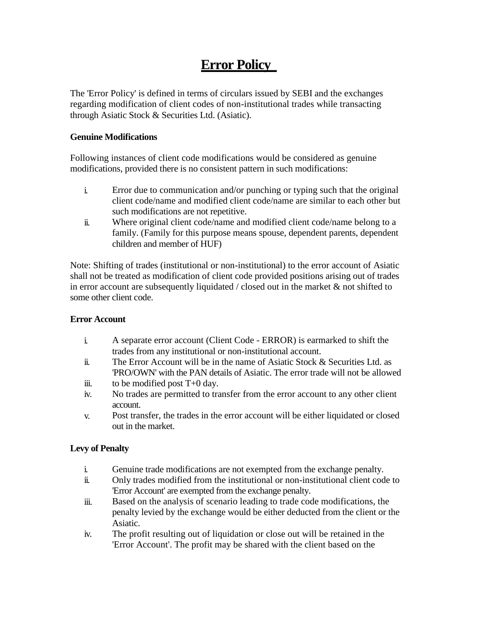# **Error Policy**

The 'Error Policy' is defined in terms of circulars issued by SEBI and the exchanges regarding modification of client codes of non-institutional trades while transacting through Asiatic Stock & Securities Ltd. (Asiatic).

### **Genuine Modifications**

Following instances of client code modifications would be considered as genuine modifications, provided there is no consistent pattern in such modifications:

- i. Error due to communication and/or punching or typing such that the original client code/name and modified client code/name are similar to each other but such modifications are not repetitive.
- ii. Where original client code/name and modified client code/name belong to a family. (Family for this purpose means spouse, dependent parents, dependent children and member of HUF)

Note: Shifting of trades (institutional or non-institutional) to the error account of Asiatic shall not be treated as modification of client code provided positions arising out of trades in error account are subsequently liquidated / closed out in the market  $\&$  not shifted to some other client code.

## **Error Account**

- i. A separate error account (Client Code - ERROR) is earmarked to shift the trades from any institutional or non-institutional account.
- ii. The Error Account will be in the name of Asiatic Stock & Securities Ltd. as 'PRO/OWN' with the PAN details of Asiatic. The error trade will not be allowed
- iii. to be modified post T+0 day.
- iv. No trades are permitted to transfer from the error account to any other client account.
- v. Post transfer, the trades in the error account will be either liquidated or closed out in the market.

## **Levy of Penalty**

- i. Genuine trade modifications are not exempted from the exchange penalty.
- ii. Only trades modified from the institutional or non-institutional client code to 'Error Account' are exempted from the exchange penalty.
- iii. Based on the analysis of scenario leading to trade code modifications, the penalty levied by the exchange would be either deducted from the client or the Asiatic.
- iv. The profit resulting out of liquidation or close out will be retained in the 'Error Account'. The profit may be shared with the client based on the